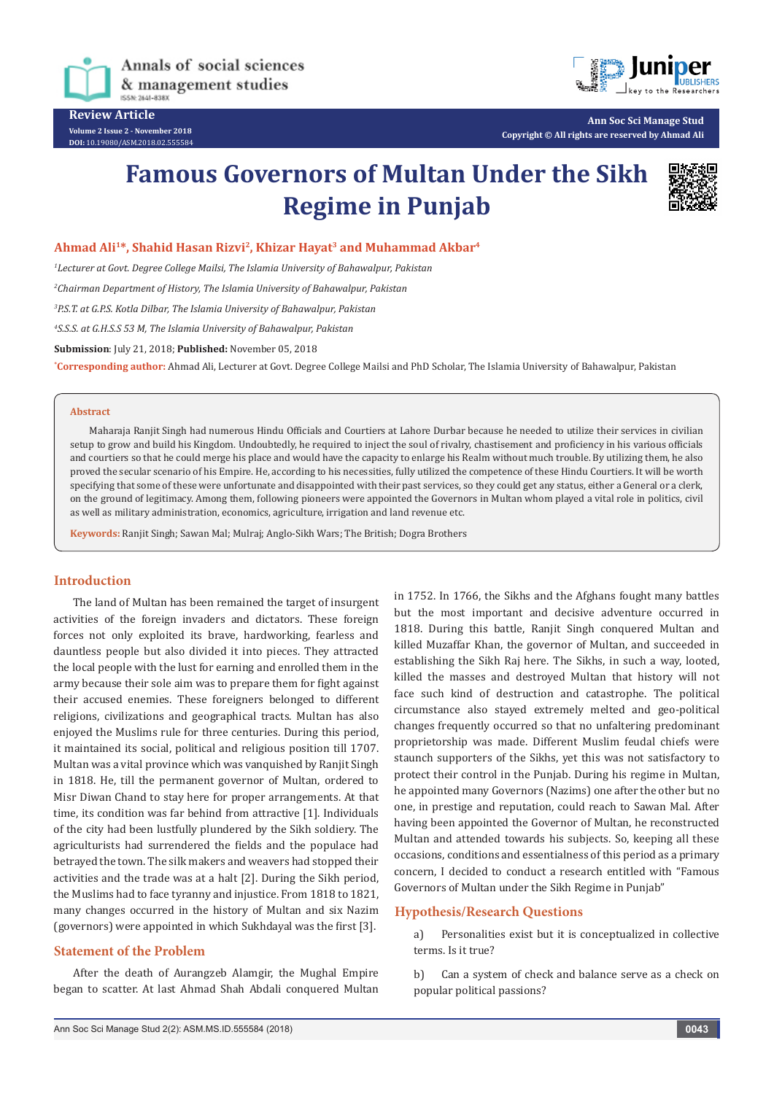

**DOI:** [10.19080/ASM.2018.02.555584](http://dx.doi.org/10.19080/ASM.2018.02.555584
)



**Ann Soc Sci Manage Stud Copyright © All rights are reserved by Ahmad Ali**

# **Famous Governors of Multan Under the Sikh Regime in Punjab**



## **Ahmad Ali1\*, Shahid Hasan Rizvi2, Khizar Hayat3 and Muhammad Akbar4**

*1 Lecturer at Govt. Degree College Mailsi, The Islamia University of Bahawalpur, Pakistan*

*2 Chairman Department of History, The Islamia University of Bahawalpur, Pakistan*

*3 P.S.T. at G.P.S. Kotla Dilbar, The Islamia University of Bahawalpur, Pakistan*

*4 S.S.S. at G.H.S.S 53 M, The Islamia University of Bahawalpur, Pakistan*

**Submission**: July 21, 2018; **Published:** November 05, 2018

**\* Corresponding author:** Ahmad Ali, Lecturer at Govt. Degree College Mailsi and PhD Scholar, The Islamia University of Bahawalpur, Pakistan

#### **Abstract**

Maharaja Ranjit Singh had numerous Hindu Officials and Courtiers at Lahore Durbar because he needed to utilize their services in civilian setup to grow and build his Kingdom. Undoubtedly, he required to inject the soul of rivalry, chastisement and proficiency in his various officials and courtiers so that he could merge his place and would have the capacity to enlarge his Realm without much trouble. By utilizing them, he also proved the secular scenario of his Empire. He, according to his necessities, fully utilized the competence of these Hindu Courtiers. It will be worth specifying that some of these were unfortunate and disappointed with their past services, so they could get any status, either a General or a clerk, on the ground of legitimacy. Among them, following pioneers were appointed the Governors in Multan whom played a vital role in politics, civil as well as military administration, economics, agriculture, irrigation and land revenue etc.

**Keywords:** Ranjit Singh; Sawan Mal; Mulraj; Anglo-Sikh Wars; The British; Dogra Brothers

## **Introduction**

The land of Multan has been remained the target of insurgent activities of the foreign invaders and dictators. These foreign forces not only exploited its brave, hardworking, fearless and dauntless people but also divided it into pieces. They attracted the local people with the lust for earning and enrolled them in the army because their sole aim was to prepare them for fight against their accused enemies. These foreigners belonged to different religions, civilizations and geographical tracts. Multan has also enjoyed the Muslims rule for three centuries. During this period, it maintained its social, political and religious position till 1707. Multan was a vital province which was vanquished by Ranjit Singh in 1818. He, till the permanent governor of Multan, ordered to Misr Diwan Chand to stay here for proper arrangements. At that time, its condition was far behind from attractive [1]. Individuals of the city had been lustfully plundered by the Sikh soldiery. The agriculturists had surrendered the fields and the populace had betrayed the town. The silk makers and weavers had stopped their activities and the trade was at a halt [2]. During the Sikh period, the Muslims had to face tyranny and injustice. From 1818 to 1821, many changes occurred in the history of Multan and six Nazim (governors) were appointed in which Sukhdayal was the first [3].

# **Statement of the Problem**

After the death of Aurangzeb Alamgir, the Mughal Empire began to scatter. At last Ahmad Shah Abdali conquered Multan in 1752. In 1766, the Sikhs and the Afghans fought many battles but the most important and decisive adventure occurred in 1818. During this battle, Ranjit Singh conquered Multan and killed Muzaffar Khan, the governor of Multan, and succeeded in establishing the Sikh Raj here. The Sikhs, in such a way, looted, killed the masses and destroyed Multan that history will not face such kind of destruction and catastrophe. The political circumstance also stayed extremely melted and geo-political changes frequently occurred so that no unfaltering predominant proprietorship was made. Different Muslim feudal chiefs were staunch supporters of the Sikhs, yet this was not satisfactory to protect their control in the Punjab. During his regime in Multan, he appointed many Governors (Nazims) one after the other but no one, in prestige and reputation, could reach to Sawan Mal. After having been appointed the Governor of Multan, he reconstructed Multan and attended towards his subjects. So, keeping all these occasions, conditions and essentialness of this period as a primary concern, I decided to conduct a research entitled with "Famous Governors of Multan under the Sikh Regime in Punjab"

### **Hypothesis/Research Questions**

a) Personalities exist but it is conceptualized in collective terms. Is it true?

b) Can a system of check and balance serve as a check on popular political passions?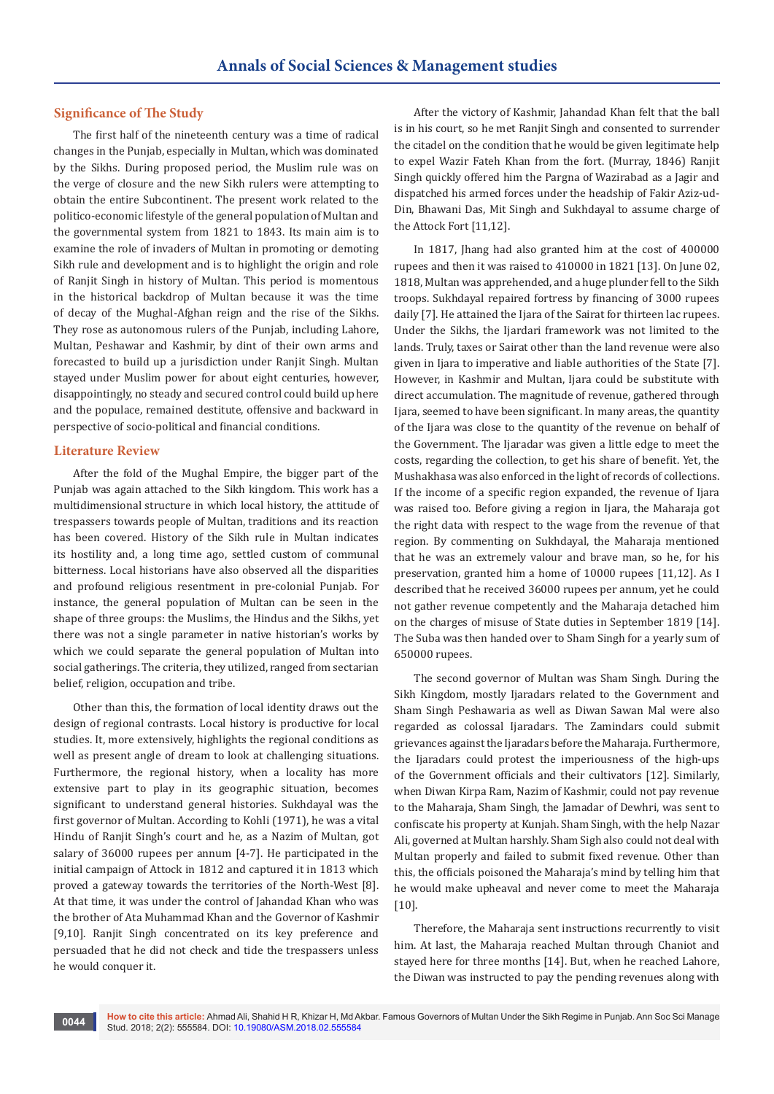## **Significance of The Study**

The first half of the nineteenth century was a time of radical changes in the Punjab, especially in Multan, which was dominated by the Sikhs. During proposed period, the Muslim rule was on the verge of closure and the new Sikh rulers were attempting to obtain the entire Subcontinent. The present work related to the politico-economic lifestyle of the general population of Multan and the governmental system from 1821 to 1843. Its main aim is to examine the role of invaders of Multan in promoting or demoting Sikh rule and development and is to highlight the origin and role of Ranjit Singh in history of Multan. This period is momentous in the historical backdrop of Multan because it was the time of decay of the Mughal-Afghan reign and the rise of the Sikhs. They rose as autonomous rulers of the Punjab, including Lahore, Multan, Peshawar and Kashmir, by dint of their own arms and forecasted to build up a jurisdiction under Ranjit Singh. Multan stayed under Muslim power for about eight centuries, however, disappointingly, no steady and secured control could build up here and the populace, remained destitute, offensive and backward in perspective of socio-political and financial conditions.

#### **Literature Review**

After the fold of the Mughal Empire, the bigger part of the Punjab was again attached to the Sikh kingdom. This work has a multidimensional structure in which local history, the attitude of trespassers towards people of Multan, traditions and its reaction has been covered. History of the Sikh rule in Multan indicates its hostility and, a long time ago, settled custom of communal bitterness. Local historians have also observed all the disparities and profound religious resentment in pre-colonial Punjab. For instance, the general population of Multan can be seen in the shape of three groups: the Muslims, the Hindus and the Sikhs, yet there was not a single parameter in native historian's works by which we could separate the general population of Multan into social gatherings. The criteria, they utilized, ranged from sectarian belief, religion, occupation and tribe.

Other than this, the formation of local identity draws out the design of regional contrasts. Local history is productive for local studies. It, more extensively, highlights the regional conditions as well as present angle of dream to look at challenging situations. Furthermore, the regional history, when a locality has more extensive part to play in its geographic situation, becomes significant to understand general histories. Sukhdayal was the first governor of Multan. According to Kohli (1971), he was a vital Hindu of Ranjit Singh's court and he, as a Nazim of Multan, got salary of 36000 rupees per annum [4-7]. He participated in the initial campaign of Attock in 1812 and captured it in 1813 which proved a gateway towards the territories of the North-West [8]. At that time, it was under the control of Jahandad Khan who was the brother of Ata Muhammad Khan and the Governor of Kashmir [9,10]. Ranjit Singh concentrated on its key preference and persuaded that he did not check and tide the trespassers unless he would conquer it.

After the victory of Kashmir, Jahandad Khan felt that the ball is in his court, so he met Ranjit Singh and consented to surrender the citadel on the condition that he would be given legitimate help to expel Wazir Fateh Khan from the fort. (Murray, 1846) Ranjit Singh quickly offered him the Pargna of Wazirabad as a Jagir and dispatched his armed forces under the headship of Fakir Aziz-ud-Din, Bhawani Das, Mit Singh and Sukhdayal to assume charge of the Attock Fort [11,12].

In 1817, Jhang had also granted him at the cost of 400000 rupees and then it was raised to 410000 in 1821 [13]. On June 02, 1818, Multan was apprehended, and a huge plunder fell to the Sikh troops. Sukhdayal repaired fortress by financing of 3000 rupees daily [7]. He attained the Ijara of the Sairat for thirteen lac rupees. Under the Sikhs, the Ijardari framework was not limited to the lands. Truly, taxes or Sairat other than the land revenue were also given in Ijara to imperative and liable authorities of the State [7]. However, in Kashmir and Multan, Ijara could be substitute with direct accumulation. The magnitude of revenue, gathered through Ijara, seemed to have been significant. In many areas, the quantity of the Ijara was close to the quantity of the revenue on behalf of the Government. The Ijaradar was given a little edge to meet the costs, regarding the collection, to get his share of benefit. Yet, the Mushakhasa was also enforced in the light of records of collections. If the income of a specific region expanded, the revenue of Ijara was raised too. Before giving a region in Ijara, the Maharaja got the right data with respect to the wage from the revenue of that region. By commenting on Sukhdayal, the Maharaja mentioned that he was an extremely valour and brave man, so he, for his preservation, granted him a home of 10000 rupees [11,12]. As I described that he received 36000 rupees per annum, yet he could not gather revenue competently and the Maharaja detached him on the charges of misuse of State duties in September 1819 [14]. The Suba was then handed over to Sham Singh for a yearly sum of 650000 rupees.

The second governor of Multan was Sham Singh. During the Sikh Kingdom, mostly Ijaradars related to the Government and Sham Singh Peshawaria as well as Diwan Sawan Mal were also regarded as colossal Ijaradars. The Zamindars could submit grievances against the Ijaradars before the Maharaja. Furthermore, the Ijaradars could protest the imperiousness of the high-ups of the Government officials and their cultivators [12]. Similarly, when Diwan Kirpa Ram, Nazim of Kashmir, could not pay revenue to the Maharaja, Sham Singh, the Jamadar of Dewhri, was sent to confiscate his property at Kunjah. Sham Singh, with the help Nazar Ali, governed at Multan harshly. Sham Sigh also could not deal with Multan properly and failed to submit fixed revenue. Other than this, the officials poisoned the Maharaja's mind by telling him that he would make upheaval and never come to meet the Maharaja [10].

Therefore, the Maharaja sent instructions recurrently to visit him. At last, the Maharaja reached Multan through Chaniot and stayed here for three months [14]. But, when he reached Lahore, the Diwan was instructed to pay the pending revenues along with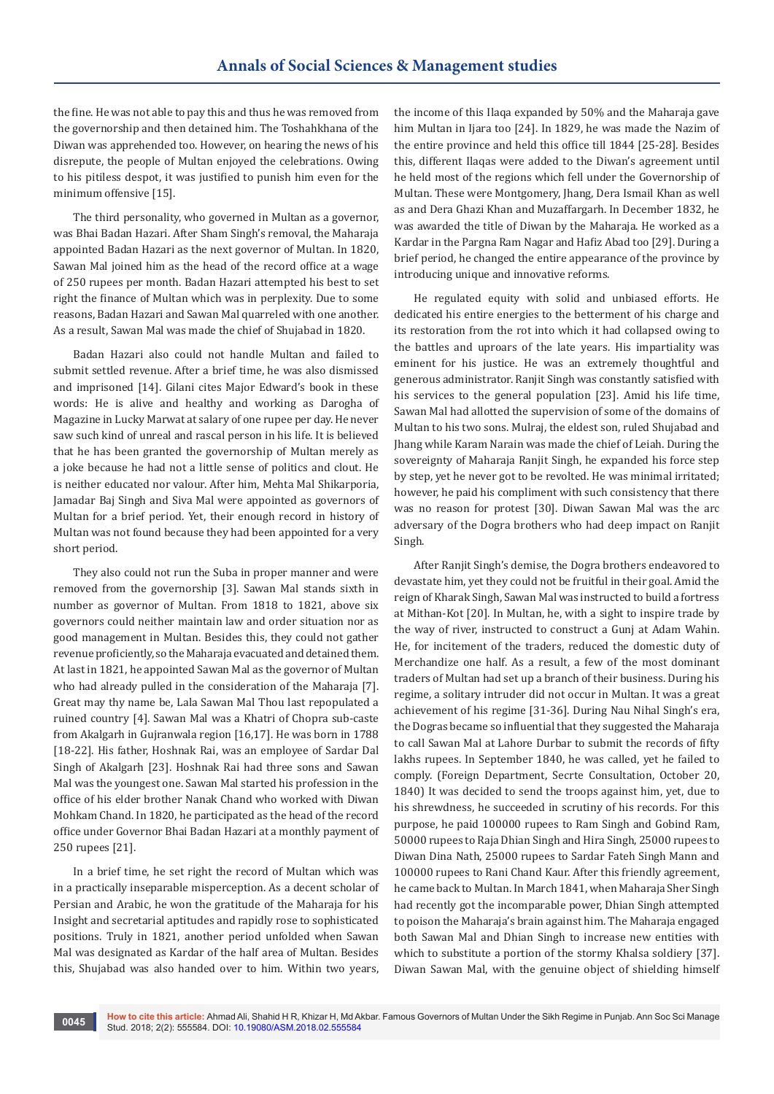the fine. He was not able to pay this and thus he was removed from the governorship and then detained him. The Toshahkhana of the Diwan was apprehended too. However, on hearing the news of his disrepute, the people of Multan enjoyed the celebrations. Owing to his pitiless despot, it was justified to punish him even for the minimum offensive [15].

The third personality, who governed in Multan as a governor, was Bhai Badan Hazari. After Sham Singh's removal, the Maharaja appointed Badan Hazari as the next governor of Multan. In 1820, Sawan Mal joined him as the head of the record office at a wage of 250 rupees per month. Badan Hazari attempted his best to set right the finance of Multan which was in perplexity. Due to some reasons, Badan Hazari and Sawan Mal quarreled with one another. As a result, Sawan Mal was made the chief of Shujabad in 1820.

Badan Hazari also could not handle Multan and failed to submit settled revenue. After a brief time, he was also dismissed and imprisoned [14]. Gilani cites Major Edward's book in these words: He is alive and healthy and working as Darogha of Magazine in Lucky Marwat at salary of one rupee per day. He never saw such kind of unreal and rascal person in his life. It is believed that he has been granted the governorship of Multan merely as a joke because he had not a little sense of politics and clout. He is neither educated nor valour. After him, Mehta Mal Shikarporia, Jamadar Baj Singh and Siva Mal were appointed as governors of Multan for a brief period. Yet, their enough record in history of Multan was not found because they had been appointed for a very short period.

They also could not run the Suba in proper manner and were removed from the governorship [3]. Sawan Mal stands sixth in number as governor of Multan. From 1818 to 1821, above six governors could neither maintain law and order situation nor as good management in Multan. Besides this, they could not gather revenue proficiently, so the Maharaja evacuated and detained them. At last in 1821, he appointed Sawan Mal as the governor of Multan who had already pulled in the consideration of the Maharaja [7]. Great may thy name be, Lala Sawan Mal Thou last repopulated a ruined country [4]. Sawan Mal was a Khatri of Chopra sub-caste from Akalgarh in Gujranwala region [16,17]. He was born in 1788 [18-22]. His father, Hoshnak Rai, was an employee of Sardar Dal Singh of Akalgarh [23]. Hoshnak Rai had three sons and Sawan Mal was the youngest one. Sawan Mal started his profession in the office of his elder brother Nanak Chand who worked with Diwan Mohkam Chand. In 1820, he participated as the head of the record office under Governor Bhai Badan Hazari at a monthly payment of 250 rupees [21].

In a brief time, he set right the record of Multan which was in a practically inseparable misperception. As a decent scholar of Persian and Arabic, he won the gratitude of the Maharaja for his Insight and secretarial aptitudes and rapidly rose to sophisticated positions. Truly in 1821, another period unfolded when Sawan Mal was designated as Kardar of the half area of Multan. Besides this, Shujabad was also handed over to him. Within two years,

the income of this Ilaqa expanded by 50% and the Maharaja gave him Multan in Ijara too [24]. In 1829, he was made the Nazim of the entire province and held this office till 1844 [25-28]. Besides this, different Ilaqas were added to the Diwan's agreement until he held most of the regions which fell under the Governorship of Multan. These were Montgomery, Jhang, Dera Ismail Khan as well as and Dera Ghazi Khan and Muzaffargarh. In December 1832, he was awarded the title of Diwan by the Maharaja. He worked as a Kardar in the Pargna Ram Nagar and Hafiz Abad too [29]. During a brief period, he changed the entire appearance of the province by introducing unique and innovative reforms.

He regulated equity with solid and unbiased efforts. He dedicated his entire energies to the betterment of his charge and its restoration from the rot into which it had collapsed owing to the battles and uproars of the late years. His impartiality was eminent for his justice. He was an extremely thoughtful and generous administrator. Ranjit Singh was constantly satisfied with his services to the general population [23]. Amid his life time, Sawan Mal had allotted the supervision of some of the domains of Multan to his two sons. Mulraj, the eldest son, ruled Shujabad and Jhang while Karam Narain was made the chief of Leiah. During the sovereignty of Maharaja Ranjit Singh, he expanded his force step by step, yet he never got to be revolted. He was minimal irritated; however, he paid his compliment with such consistency that there was no reason for protest [30]. Diwan Sawan Mal was the arc adversary of the Dogra brothers who had deep impact on Ranjit Singh.

After Ranjit Singh's demise, the Dogra brothers endeavored to devastate him, yet they could not be fruitful in their goal. Amid the reign of Kharak Singh, Sawan Mal was instructed to build a fortress at Mithan-Kot [20]. In Multan, he, with a sight to inspire trade by the way of river, instructed to construct a Gunj at Adam Wahin. He, for incitement of the traders, reduced the domestic duty of Merchandize one half. As a result, a few of the most dominant traders of Multan had set up a branch of their business. During his regime, a solitary intruder did not occur in Multan. It was a great achievement of his regime [31-36]. During Nau Nihal Singh's era, the Dogras became so influential that they suggested the Maharaja to call Sawan Mal at Lahore Durbar to submit the records of fifty lakhs rupees. In September 1840, he was called, yet he failed to comply. (Foreign Department, Secrte Consultation, October 20, 1840) It was decided to send the troops against him, yet, due to his shrewdness, he succeeded in scrutiny of his records. For this purpose, he paid 100000 rupees to Ram Singh and Gobind Ram, 50000 rupees to Raja Dhian Singh and Hira Singh, 25000 rupees to Diwan Dina Nath, 25000 rupees to Sardar Fateh Singh Mann and 100000 rupees to Rani Chand Kaur. After this friendly agreement, he came back to Multan. In March 1841, when Maharaja Sher Singh had recently got the incomparable power, Dhian Singh attempted to poison the Maharaja's brain against him. The Maharaja engaged both Sawan Mal and Dhian Singh to increase new entities with which to substitute a portion of the stormy Khalsa soldiery [37]. Diwan Sawan Mal, with the genuine object of shielding himself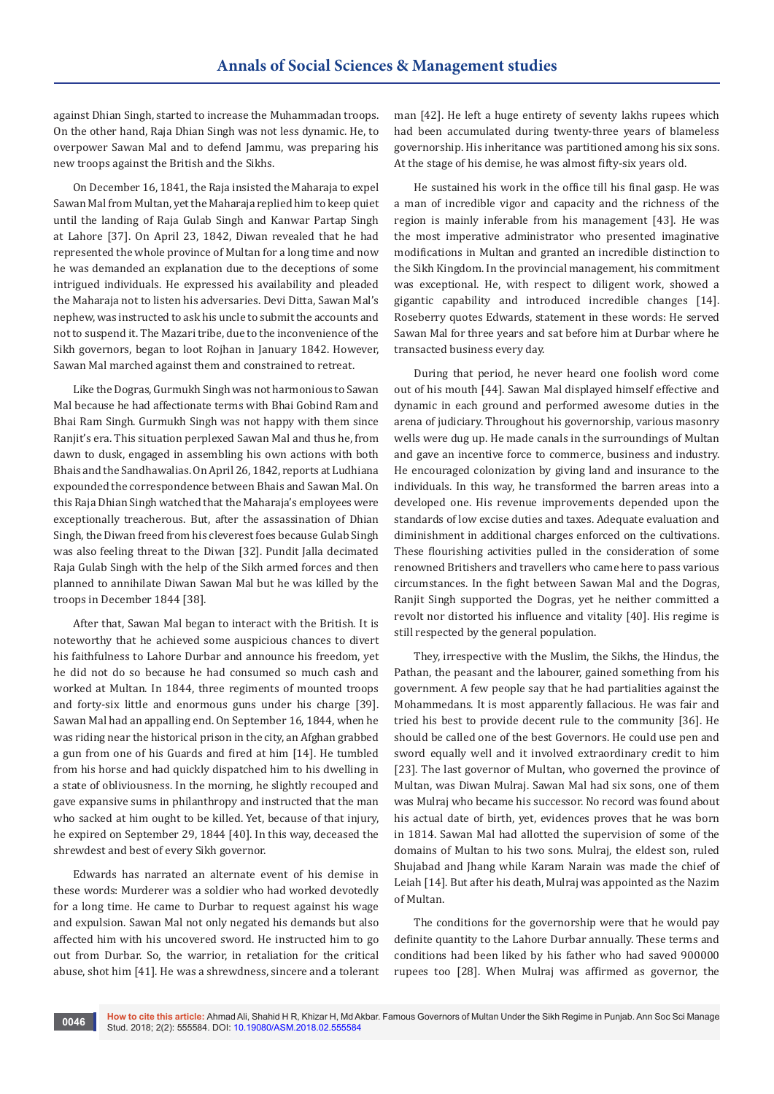against Dhian Singh, started to increase the Muhammadan troops. On the other hand, Raja Dhian Singh was not less dynamic. He, to overpower Sawan Mal and to defend Jammu, was preparing his new troops against the British and the Sikhs.

On December 16, 1841, the Raja insisted the Maharaja to expel Sawan Mal from Multan, yet the Maharaja replied him to keep quiet until the landing of Raja Gulab Singh and Kanwar Partap Singh at Lahore [37]. On April 23, 1842, Diwan revealed that he had represented the whole province of Multan for a long time and now he was demanded an explanation due to the deceptions of some intrigued individuals. He expressed his availability and pleaded the Maharaja not to listen his adversaries. Devi Ditta, Sawan Mal's nephew, was instructed to ask his uncle to submit the accounts and not to suspend it. The Mazari tribe, due to the inconvenience of the Sikh governors, began to loot Rojhan in January 1842. However, Sawan Mal marched against them and constrained to retreat.

Like the Dogras, Gurmukh Singh was not harmonious to Sawan Mal because he had affectionate terms with Bhai Gobind Ram and Bhai Ram Singh. Gurmukh Singh was not happy with them since Ranjit's era. This situation perplexed Sawan Mal and thus he, from dawn to dusk, engaged in assembling his own actions with both Bhais and the Sandhawalias. On April 26, 1842, reports at Ludhiana expounded the correspondence between Bhais and Sawan Mal. On this Raja Dhian Singh watched that the Maharaja's employees were exceptionally treacherous. But, after the assassination of Dhian Singh, the Diwan freed from his cleverest foes because Gulab Singh was also feeling threat to the Diwan [32]. Pundit Jalla decimated Raja Gulab Singh with the help of the Sikh armed forces and then planned to annihilate Diwan Sawan Mal but he was killed by the troops in December 1844 [38].

After that, Sawan Mal began to interact with the British. It is noteworthy that he achieved some auspicious chances to divert his faithfulness to Lahore Durbar and announce his freedom, yet he did not do so because he had consumed so much cash and worked at Multan. In 1844, three regiments of mounted troops and forty-six little and enormous guns under his charge [39]. Sawan Mal had an appalling end. On September 16, 1844, when he was riding near the historical prison in the city, an Afghan grabbed a gun from one of his Guards and fired at him [14]. He tumbled from his horse and had quickly dispatched him to his dwelling in a state of obliviousness. In the morning, he slightly recouped and gave expansive sums in philanthropy and instructed that the man who sacked at him ought to be killed. Yet, because of that injury, he expired on September 29, 1844 [40]. In this way, deceased the shrewdest and best of every Sikh governor.

Edwards has narrated an alternate event of his demise in these words: Murderer was a soldier who had worked devotedly for a long time. He came to Durbar to request against his wage and expulsion. Sawan Mal not only negated his demands but also affected him with his uncovered sword. He instructed him to go out from Durbar. So, the warrior, in retaliation for the critical abuse, shot him [41]. He was a shrewdness, sincere and a tolerant man [42]. He left a huge entirety of seventy lakhs rupees which had been accumulated during twenty-three years of blameless governorship. His inheritance was partitioned among his six sons. At the stage of his demise, he was almost fifty-six years old.

He sustained his work in the office till his final gasp. He was a man of incredible vigor and capacity and the richness of the region is mainly inferable from his management [43]. He was the most imperative administrator who presented imaginative modifications in Multan and granted an incredible distinction to the Sikh Kingdom. In the provincial management, his commitment was exceptional. He, with respect to diligent work, showed a gigantic capability and introduced incredible changes [14]. Roseberry quotes Edwards, statement in these words: He served Sawan Mal for three years and sat before him at Durbar where he transacted business every day.

During that period, he never heard one foolish word come out of his mouth [44]. Sawan Mal displayed himself effective and dynamic in each ground and performed awesome duties in the arena of judiciary. Throughout his governorship, various masonry wells were dug up. He made canals in the surroundings of Multan and gave an incentive force to commerce, business and industry. He encouraged colonization by giving land and insurance to the individuals. In this way, he transformed the barren areas into a developed one. His revenue improvements depended upon the standards of low excise duties and taxes. Adequate evaluation and diminishment in additional charges enforced on the cultivations. These flourishing activities pulled in the consideration of some renowned Britishers and travellers who came here to pass various circumstances. In the fight between Sawan Mal and the Dogras, Ranjit Singh supported the Dogras, yet he neither committed a revolt nor distorted his influence and vitality [40]. His regime is still respected by the general population.

They, irrespective with the Muslim, the Sikhs, the Hindus, the Pathan, the peasant and the labourer, gained something from his government. A few people say that he had partialities against the Mohammedans. It is most apparently fallacious. He was fair and tried his best to provide decent rule to the community [36]. He should be called one of the best Governors. He could use pen and sword equally well and it involved extraordinary credit to him [23]. The last governor of Multan, who governed the province of Multan, was Diwan Mulraj. Sawan Mal had six sons, one of them was Mulraj who became his successor. No record was found about his actual date of birth, yet, evidences proves that he was born in 1814. Sawan Mal had allotted the supervision of some of the domains of Multan to his two sons. Mulraj, the eldest son, ruled Shujabad and Jhang while Karam Narain was made the chief of Leiah [14]. But after his death, Mulraj was appointed as the Nazim of Multan.

The conditions for the governorship were that he would pay definite quantity to the Lahore Durbar annually. These terms and conditions had been liked by his father who had saved 900000 rupees too [28]. When Mulraj was affirmed as governor, the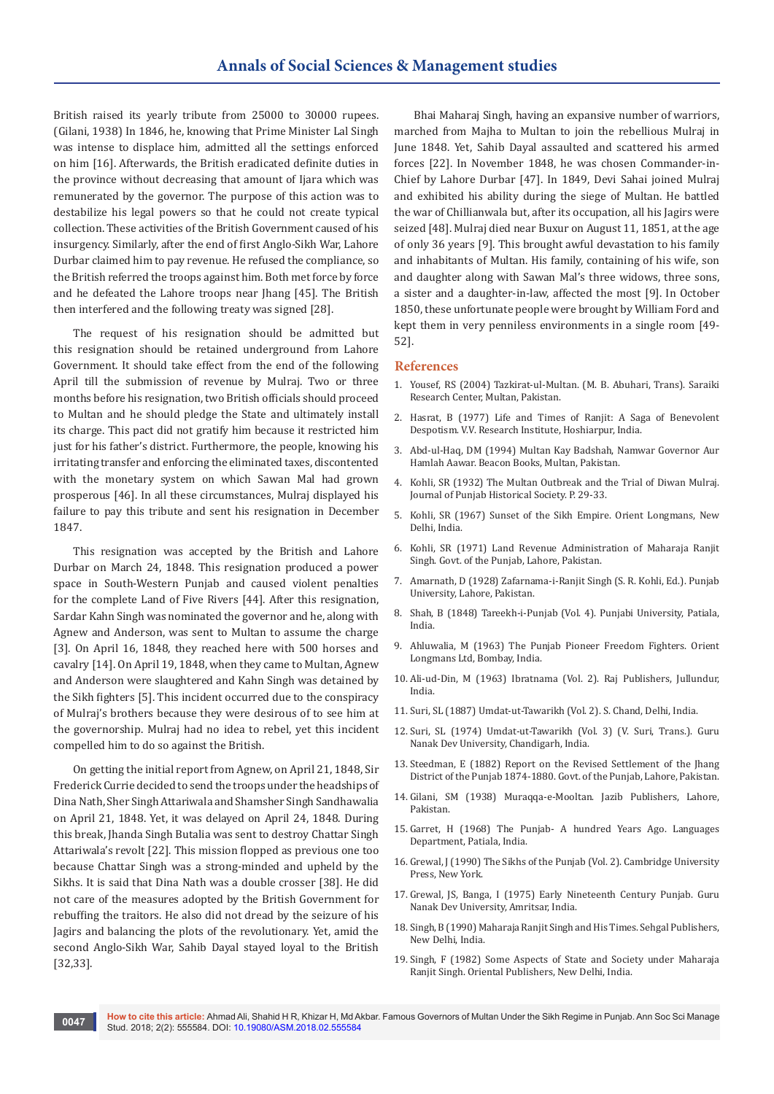British raised its yearly tribute from 25000 to 30000 rupees. (Gilani, 1938) In 1846, he, knowing that Prime Minister Lal Singh was intense to displace him, admitted all the settings enforced on him [16]. Afterwards, the British eradicated definite duties in the province without decreasing that amount of Ijara which was remunerated by the governor. The purpose of this action was to destabilize his legal powers so that he could not create typical collection. These activities of the British Government caused of his insurgency. Similarly, after the end of first Anglo-Sikh War, Lahore Durbar claimed him to pay revenue. He refused the compliance, so the British referred the troops against him. Both met force by force and he defeated the Lahore troops near Jhang [45]. The British then interfered and the following treaty was signed [28].

The request of his resignation should be admitted but this resignation should be retained underground from Lahore Government. It should take effect from the end of the following April till the submission of revenue by Mulraj. Two or three months before his resignation, two British officials should proceed to Multan and he should pledge the State and ultimately install its charge. This pact did not gratify him because it restricted him just for his father's district. Furthermore, the people, knowing his irritating transfer and enforcing the eliminated taxes, discontented with the monetary system on which Sawan Mal had grown prosperous [46]. In all these circumstances, Mulraj displayed his failure to pay this tribute and sent his resignation in December 1847.

This resignation was accepted by the British and Lahore Durbar on March 24, 1848. This resignation produced a power space in South-Western Punjab and caused violent penalties for the complete Land of Five Rivers [44]. After this resignation, Sardar Kahn Singh was nominated the governor and he, along with Agnew and Anderson, was sent to Multan to assume the charge [3]. On April 16, 1848, they reached here with 500 horses and cavalry [14]. On April 19, 1848, when they came to Multan, Agnew and Anderson were slaughtered and Kahn Singh was detained by the Sikh fighters [5]. This incident occurred due to the conspiracy of Mulraj's brothers because they were desirous of to see him at the governorship. Mulraj had no idea to rebel, yet this incident compelled him to do so against the British.

On getting the initial report from Agnew, on April 21, 1848, Sir Frederick Currie decided to send the troops under the headships of Dina Nath, Sher Singh Attariwala and Shamsher Singh Sandhawalia on April 21, 1848. Yet, it was delayed on April 24, 1848. During this break, Jhanda Singh Butalia was sent to destroy Chattar Singh Attariwala's revolt [22]. This mission flopped as previous one too because Chattar Singh was a strong-minded and upheld by the Sikhs. It is said that Dina Nath was a double crosser [38]. He did not care of the measures adopted by the British Government for rebuffing the traitors. He also did not dread by the seizure of his Jagirs and balancing the plots of the revolutionary. Yet, amid the second Anglo-Sikh War, Sahib Dayal stayed loyal to the British [32,33].

Bhai Maharaj Singh, having an expansive number of warriors, marched from Majha to Multan to join the rebellious Mulraj in June 1848. Yet, Sahib Dayal assaulted and scattered his armed forces [22]. In November 1848, he was chosen Commander-in-Chief by Lahore Durbar [47]. In 1849, Devi Sahai joined Mulraj and exhibited his ability during the siege of Multan. He battled the war of Chillianwala but, after its occupation, all his Jagirs were seized [48]. Mulraj died near Buxur on August 11, 1851, at the age of only 36 years [9]. This brought awful devastation to his family and inhabitants of Multan. His family, containing of his wife, son and daughter along with Sawan Mal's three widows, three sons, a sister and a daughter-in-law, affected the most [9]. In October 1850, these unfortunate people were brought by William Ford and kept them in very penniless environments in a single room [49- 52].

#### **References**

- 1. Yousef, RS (2004) Tazkirat-ul-Multan. (M. B. Abuhari, Trans). Saraiki Research Center, Multan, Pakistan.
- 2. Hasrat, B (1977) Life and Times of Ranjit: A Saga of Benevolent Despotism. V.V. Research Institute, Hoshiarpur, India.
- 3. Abd-ul-Haq, DM (1994) Multan Kay Badshah, Namwar Governor Aur Hamlah Aawar. Beacon Books, Multan, Pakistan.
- 4. Kohli, SR (1932) The Multan Outbreak and the Trial of Diwan Mulraj. Journal of Punjab Historical Society. P. 29-33.
- 5. Kohli, SR (1967) Sunset of the Sikh Empire. Orient Longmans, New Delhi, India.
- 6. Kohli, SR (1971) Land Revenue Administration of Maharaja Ranjit Singh. Govt. of the Punjab, Lahore, Pakistan.
- 7. Amarnath, D (1928) Zafarnama-i-Ranjit Singh (S. R. Kohli, Ed.). Punjab University, Lahore, Pakistan.
- 8. Shah, B (1848) Tareekh-i-Punjab (Vol. 4). Punjabi University, Patiala, India.
- 9. Ahluwalia, M (1963) The Punjab Pioneer Freedom Fighters. Orient Longmans Ltd, Bombay, India.
- 10. Ali-ud-Din, M (1963) Ibratnama (Vol. 2). Raj Publishers, Jullundur, India.
- 11. Suri, SL (1887) Umdat-ut-Tawarikh (Vol. 2). S. Chand, Delhi, India.
- 12. Suri, SL (1974) Umdat-ut-Tawarikh (Vol. 3) (V. Suri, Trans.). Guru Nanak Dev University, Chandigarh, India.
- 13. Steedman, E (1882) Report on the Revised Settlement of the Jhang District of the Punjab 1874-1880. Govt. of the Punjab, Lahore, Pakistan.
- 14. Gilani, SM (1938) Muraqqa-e-Mooltan. Jazib Publishers, Lahore, Pakistan.
- 15. Garret, H (1968) The Punjab- A hundred Years Ago. Languages Department, Patiala, India.
- 16. Grewal, J (1990) The Sikhs of the Punjab (Vol. 2). Cambridge University Press, New York.
- 17. Grewal, JS, Banga, I (1975) Early Nineteenth Century Punjab. Guru Nanak Dev University, Amritsar, India.
- 18. Singh, B (1990) Maharaja Ranjit Singh and His Times. Sehgal Publishers, New Delhi, India.
- 19. Singh, F (1982) Some Aspects of State and Society under Maharaja Ranjit Singh. Oriental Publishers, New Delhi, India.